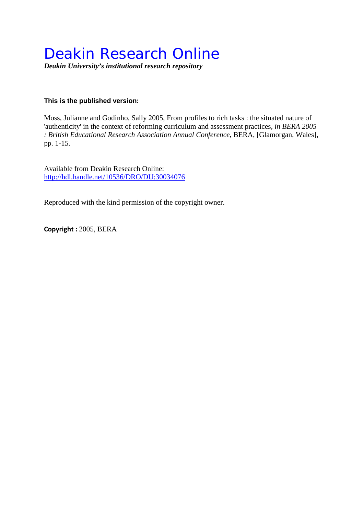# Deakin Research Online

*Deakin University's institutional research repository*

### **This is the published version:**

Moss, Julianne and Godinho, Sally 2005, From profiles to rich tasks : the situated nature of 'authenticity' in the context of reforming curriculum and assessment practices*, in BERA 2005 : British Educational Research Association Annual Conference*, BERA, [Glamorgan, Wales], pp. 1-15.

Available from Deakin Research Online: <http://hdl.handle.net/10536/DRO/DU:30034076>

Reproduced with the kind permission of the copyright owner.

**Copyright :** 2005, BERA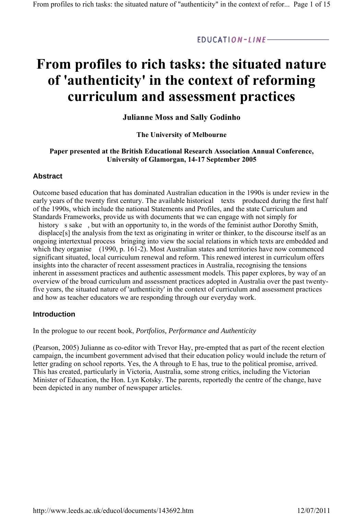$EDUCATION-LINE-$ 

## **From profiles to rich tasks: the situated nature of 'authenticity' in the context of reforming curriculum and assessment practices**

#### **Julianne Moss and Sally Godinho**

#### **The University of Melbourne**

#### **Paper presented at the British Educational Research Association Annual Conference, University of Glamorgan, 14-17 September 2005**

#### **Abstract**

Outcome based education that has dominated Australian education in the 1990s is under review in the early years of the twenty first century. The available historical texts produced during the first half of the 1990s, which include the national Statements and Profiles, and the state Curriculum and Standards Frameworks, provide us with documents that we can engage with not simply for

history s sake, but with an opportunity to, in the words of the feminist author Dorothy Smith, displace[s] the analysis from the text as originating in writer or thinker, to the discourse itself as an ongoing intertextual process bringing into view the social relations in which texts are embedded and which they organise (1990, p. 161-2). Most Australian states and territories have now commenced significant situated, local curriculum renewal and reform. This renewed interest in curriculum offers insights into the character of recent assessment practices in Australia, recognising the tensions inherent in assessment practices and authentic assessment models. This paper explores, by way of an overview of the broad curriculum and assessment practices adopted in Australia over the past twentyfive years, the situated nature of 'authenticity' in the context of curriculum and assessment practices and how as teacher educators we are responding through our everyday work.

#### **Introduction**

In the prologue to our recent book, *Portfolios, Performance and Authenticity*

(Pearson, 2005) Julianne as co-editor with Trevor Hay, pre-empted that as part of the recent election campaign, the incumbent government advised that their education policy would include the return of letter grading on school reports. Yes, the A through to E has, true to the political promise, arrived. This has created, particularly in Victoria, Australia, some strong critics, including the Victorian Minister of Education, the Hon. Lyn Kotsky. The parents, reportedly the centre of the change, have been depicted in any number of newspaper articles.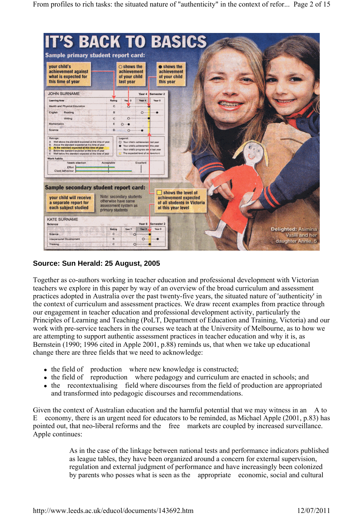| vour child's<br>achievement against<br>what is expected for<br>this time of year                                                                                                                                                                                                                 | $\bigcirc$ shows the<br>achievement<br>of your child<br>last year | shows the<br>achievement<br>of your child<br>this year                                                                                                           |                                                   |
|--------------------------------------------------------------------------------------------------------------------------------------------------------------------------------------------------------------------------------------------------------------------------------------------------|-------------------------------------------------------------------|------------------------------------------------------------------------------------------------------------------------------------------------------------------|---------------------------------------------------|
| <b>JOHN SURNAME</b>                                                                                                                                                                                                                                                                              |                                                                   | Semester 2<br>Year 4                                                                                                                                             |                                                   |
| <b>Learning Area</b><br>Health and Physical Education                                                                                                                                                                                                                                            | Yaa 3<br>Rating<br>c.                                             | Year 4<br>Year 5<br><b>Committee</b>                                                                                                                             |                                                   |
| Reading<br>English                                                                                                                                                                                                                                                                               | B                                                                 | <b>Basic</b><br>O                                                                                                                                                |                                                   |
| Writing                                                                                                                                                                                                                                                                                          | $\mathbf{c}$                                                      | Octobristicial                                                                                                                                                   |                                                   |
| Mathematics                                                                                                                                                                                                                                                                                      | E<br>$O \cdots$                                                   |                                                                                                                                                                  |                                                   |
| Science                                                                                                                                                                                                                                                                                          | D.<br><b>SALESDO MARINE</b>                                       |                                                                                                                                                                  |                                                   |
| Ratings:<br>A Well above the standard expected at this time of year<br>B. Above the standard expected at this time of year<br>C At the standard expected at this time of year<br>D Below the standard expected at this time of year<br>E - Well below the standard expected at this time of year | Legend:                                                           | O Your child's achievement last year<br>C Your child's achievement this year<br>Alle Your child's progress sin a last year<br>The expected level of ac reversent |                                                   |
| <b>Work habits</b><br>Needs allention<br>Effort<br>Class behaviour                                                                                                                                                                                                                               | Acceptable                                                        | Excellent                                                                                                                                                        |                                                   |
| Sample secondary student report card:                                                                                                                                                                                                                                                            |                                                                   |                                                                                                                                                                  |                                                   |
|                                                                                                                                                                                                                                                                                                  | Note: secondary students                                          | achievement expected<br>otherwise have same                                                                                                                      | shows the level of<br>of all students in Victoria |

## **Source: Sun Herald: 25 August, 2005**

Together as co-authors working in teacher education and professional development with Victorian teachers we explore in this paper by way of an overview of the broad curriculum and assessment practices adopted in Australia over the past twenty-five years, the situated nature of 'authenticity' in the context of curriculum and assessment practices. We draw recent examples from practice through our engagement in teacher education and professional development activity, particularly the Principles of Learning and Teaching (PoLT, Department of Education and Training, Victoria) and our work with pre-service teachers in the courses we teach at the University of Melbourne, as to how we are attempting to support authentic assessment practices in teacher education and why it is, as Bernstein (1990; 1996 cited in Apple 2001, p.88) reminds us, that when we take up educational change there are three fields that we need to acknowledge:

- the field of production where new knowledge is constructed;
- the field of reproduction where pedagogy and curriculum are enacted in schools; and
- the recontextualising field where discourses from the field of production are appropriated and transformed into pedagogic discourses and recommendations.

Given the context of Australian education and the harmful potential that we may witness in an A to E economy, there is an urgent need for educators to be reminded, as Michael Apple (2001, p.83) has pointed out, that neo-liberal reforms and the free markets are coupled by increased surveillance. Apple continues:

> As in the case of the linkage between national tests and performance indicators published as league tables, they have been organized around a concern for external supervision, regulation and external judgment of performance and have increasingly been colonized by parents who posses what is seen as the appropriate economic, social and cultural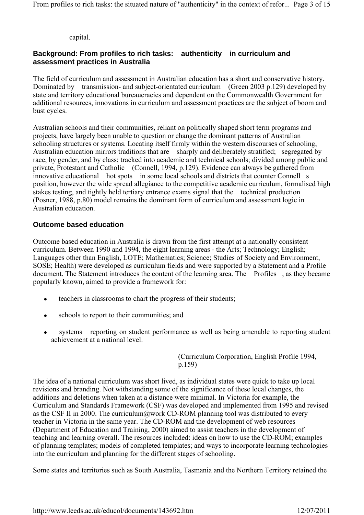From profiles to rich tasks: the situated nature of "authenticity" in the context of refor... Page 3 of 15

capital.

## **Background: From profiles to rich tasks: authenticity in curriculum and assessment practices in Australia**

The field of curriculum and assessment in Australian education has a short and conservative history. Dominated by transmission- and subject-orientated curriculum (Green 2003 p.129) developed by state and territory educational bureaucracies and dependent on the Commonwealth Government for additional resources, innovations in curriculum and assessment practices are the subject of boom and bust cycles.

Australian schools and their communities, reliant on politically shaped short term programs and projects, have largely been unable to question or change the dominant patterns of Australian schooling structures or systems. Locating itself firmly within the western discourses of schooling, Australian education mirrors traditions that are sharply and deliberately stratified; segregated by race, by gender, and by class; tracked into academic and technical schools; divided among public and private, Protestant and Catholic (Connell, 1994, p.129). Evidence can always be gathered from innovative educational hot spots in some local schools and districts that counter Connell s position, however the wide spread allegiance to the competitive academic curriculum, formalised high stakes testing, and tightly held tertiary entrance exams signal that the technical production (Posner, 1988, p.80) model remains the dominant form of curriculum and assessment logic in Australian education.

### **Outcome based education**

Outcome based education in Australia is drawn from the first attempt at a nationally consistent curriculum. Between 1990 and 1994, the eight learning areas - the Arts; Technology; English; Languages other than English, LOTE; Mathematics; Science; Studies of Society and Environment, SOSE; Health) were developed as curriculum fields and were supported by a Statement and a Profile document. The Statement introduces the content of the learning area. The Profiles, as they became popularly known, aimed to provide a framework for:

- teachers in classrooms to chart the progress of their students;
- schools to report to their communities; and
- systems reporting on student performance as well as being amenable to reporting student achievement at a national level.

(Curriculum Corporation, English Profile 1994, p.159)

The idea of a national curriculum was short lived, as individual states were quick to take up local revisions and branding. Not withstanding some of the significance of these local changes, the additions and deletions when taken at a distance were minimal. In Victoria for example, the Curriculum and Standards Framework (CSF) was developed and implemented from 1995 and revised as the CSF II in 2000. The curriculum@work CD-ROM planning tool was distributed to every teacher in Victoria in the same year. The CD-ROM and the development of web resources (Department of Education and Training, 2000) aimed to assist teachers in the development of teaching and learning overall. The resources included: ideas on how to use the CD-ROM; examples of planning templates; models of completed templates; and ways to incorporate learning technologies into the curriculum and planning for the different stages of schooling.

Some states and territories such as South Australia, Tasmania and the Northern Territory retained the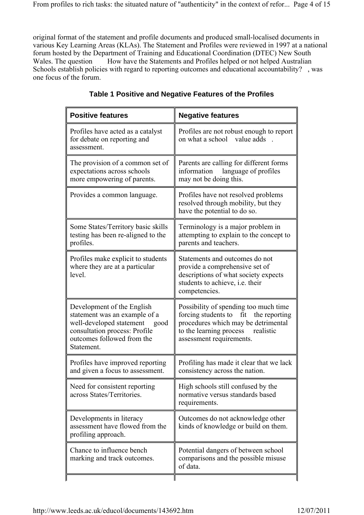original format of the statement and profile documents and produced small-localised documents in various Key Learning Areas (KLAs). The Statement and Profiles were reviewed in 1997 at a national forum hosted by the Department of Training and Educational Coordination (DTEC) New South Wales. The question How have the Statements and Profiles helped or not helped Australian Schools establish policies with regard to reporting outcomes and educational accountability?, was one focus of the forum.

| <b>Positive features</b>                                                                                                                                                     | <b>Negative features</b>                                                                                                                                                                  |
|------------------------------------------------------------------------------------------------------------------------------------------------------------------------------|-------------------------------------------------------------------------------------------------------------------------------------------------------------------------------------------|
| Profiles have acted as a catalyst<br>for debate on reporting and<br>assessment.                                                                                              | Profiles are not robust enough to report<br>on what a school value adds                                                                                                                   |
| The provision of a common set of<br>expectations across schools<br>more empowering of parents.                                                                               | Parents are calling for different forms<br>information language of profiles<br>may not be doing this.                                                                                     |
| Provides a common language.                                                                                                                                                  | Profiles have not resolved problems<br>resolved through mobility, but they<br>have the potential to do so.                                                                                |
| Some States/Territory basic skills<br>testing has been re-aligned to the<br>profiles.                                                                                        | Terminology is a major problem in<br>attempting to explain to the concept to<br>parents and teachers.                                                                                     |
| Profiles make explicit to students<br>where they are at a particular<br>level.                                                                                               | Statements and outcomes do not<br>provide a comprehensive set of<br>descriptions of what society expects<br>students to achieve, i.e. their<br>competencies.                              |
| Development of the English<br>statement was an example of a<br>well-developed statement<br>good<br>consultation process: Profile<br>outcomes followed from the<br>Statement. | Possibility of spending too much time<br>forcing students to fit the reporting<br>procedures which may be detrimental<br>to the learning process<br>realistic<br>assessment requirements. |
| Profiles have improved reporting<br>and given a focus to assessment.                                                                                                         | Profiling has made it clear that we lack<br>consistency across the nation.                                                                                                                |
| Need for consistent reporting<br>across States/Territories.                                                                                                                  | High schools still confused by the<br>normative versus standards based<br>requirements.                                                                                                   |
| Developments in literacy<br>assessment have flowed from the<br>profiling approach.                                                                                           | Outcomes do not acknowledge other<br>kinds of knowledge or build on them.                                                                                                                 |
| Chance to influence bench<br>marking and track outcomes.                                                                                                                     | Potential dangers of between school<br>comparisons and the possible misuse<br>of data.                                                                                                    |
|                                                                                                                                                                              |                                                                                                                                                                                           |

## **Table 1 Positive and Negative Features of the Profiles**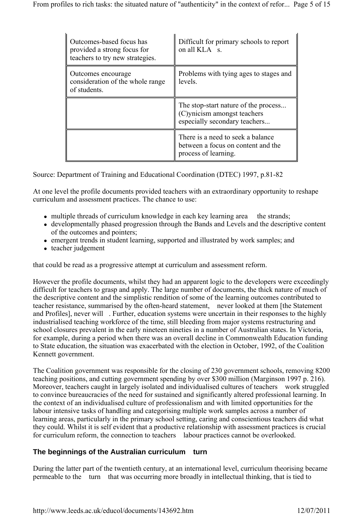| Outcomes-based focus has<br>provided a strong focus for<br>teachers to try new strategies. | Difficult for primary schools to report<br>on all KLA s.                                             |
|--------------------------------------------------------------------------------------------|------------------------------------------------------------------------------------------------------|
| Outcomes encourage<br>consideration of the whole range<br>of students.                     | Problems with tying ages to stages and<br>levels.                                                    |
|                                                                                            | The stop-start nature of the process<br>(C)ynicism amongst teachers<br>especially secondary teachers |
|                                                                                            | There is a need to seek a balance<br>between a focus on content and the<br>process of learning.      |

Source: Department of Training and Educational Coordination (DTEC) 1997, p.81-82

At one level the profile documents provided teachers with an extraordinary opportunity to reshape curriculum and assessment practices. The chance to use:

- multiple threads of curriculum knowledge in each key learning area the strands;
- developmentally phased progression through the Bands and Levels and the descriptive content of the outcomes and pointers;
- emergent trends in student learning, supported and illustrated by work samples; and
- teacher judgement

that could be read as a progressive attempt at curriculum and assessment reform.

However the profile documents, whilst they had an apparent logic to the developers were exceedingly difficult for teachers to grasp and apply. The large number of documents, the thick nature of much of the descriptive content and the simplistic rendition of some of the learning outcomes contributed to teacher resistance, summarised by the often-heard statement, never looked at them [the Statement and Profiles], never will. Further, education systems were uncertain in their responses to the highly industrialised teaching workforce of the time, still bleeding from major systems restructuring and school closures prevalent in the early nineteen nineties in a number of Australian states. In Victoria, for example, during a period when there was an overall decline in Commonwealth Education funding to State education, the situation was exacerbated with the election in October, 1992, of the Coalition Kennett government.

The Coalition government was responsible for the closing of 230 government schools, removing 8200 teaching positions, and cutting government spending by over \$300 million (Marginson 1997 p. 216). Moreover, teachers caught in largely isolated and individualised cultures of teachers work struggled to convince bureaucracies of the need for sustained and significantly altered professional learning. In the context of an individualised culture of professionalism and with limited opportunities for the labour intensive tasks of handling and categorising multiple work samples across a number of learning areas, particularly in the primary school setting, caring and conscientious teachers did what they could. Whilst it is self evident that a productive relationship with assessment practices is crucial for curriculum reform, the connection to teachers labour practices cannot be overlooked.

## **The beginnings of the Australian curriculum turn**

During the latter part of the twentieth century, at an international level, curriculum theorising became permeable to the turn that was occurring more broadly in intellectual thinking, that is tied to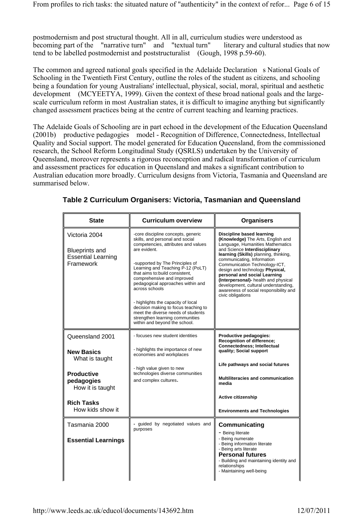postmodernism and post structural thought. All in all, curriculum studies were understood as becoming part of the "narrative turn" and "textual turn" literary and cultural studies that now tend to be labelled postmodernist and poststructuralist (Gough, 1998 p.59-60).

The common and agreed national goals specified in the Adelaide Declaration s National Goals of Schooling in the Twentieth First Century, outline the roles of the student as citizens, and schooling being a foundation for young Australians' intellectual, physical, social, moral, spiritual and aesthetic development (MCYEETYA, 1999). Given the context of these broad national goals and the largescale curriculum reform in most Australian states, it is difficult to imagine anything but significantly changed assessment practices being at the centre of current teaching and learning practices.

The Adelaide Goals of Schooling are in part echoed in the development of the Education Queensland (2001b) productive pedagogies model - Recognition of Difference, Connectedness, Intellectual Quality and Social support. The model generated for Education Queensland, from the commissioned research, the School Reform Longitudinal Study (QSRLS) undertaken by the University of Queensland, moreover represents a rigorous reconception and radical transformation of curriculum and assessment practices for education in Queensland and makes a significant contribution to Australian education more broadly. Curriculum designs from Victoria, Tasmania and Queensland are summarised below.

| <b>State</b>                                                                     | <b>Curriculum overview</b>                                                                                                                                                                                                                                                                                                                                                                                                                                                                                          | <b>Organisers</b>                                                                                                                                                                                                                                                                                                                                                                                                                                             |
|----------------------------------------------------------------------------------|---------------------------------------------------------------------------------------------------------------------------------------------------------------------------------------------------------------------------------------------------------------------------------------------------------------------------------------------------------------------------------------------------------------------------------------------------------------------------------------------------------------------|---------------------------------------------------------------------------------------------------------------------------------------------------------------------------------------------------------------------------------------------------------------------------------------------------------------------------------------------------------------------------------------------------------------------------------------------------------------|
| Victoria 2004<br><b>Blueprints and</b><br><b>Essential Learning</b><br>Framework | -core discipline concepts, generic<br>skills, and personal and social<br>competencies, attributes and values<br>are evident.<br>-supported by The Principles of<br>Learning and Teaching P-12 (PoLT)<br>that aims to:build consistent,<br>comprehensive and improved<br>pedagogical approaches within and<br>across schools<br>- highlights the capacity of local<br>decision making to focus teaching to<br>meet the diverse needs of students<br>strengthen learning communities<br>within and beyond the school. | Discipline based learning<br>(Knowledge) The Arts, English and<br>Language, Humanities Mathematics<br>and Science Interdisciplinary<br>learning (Skills) planning, thinking,<br>communicating, Information<br>Communication Technology-ICT,<br>design and technology Physical,<br>personal and social Learning<br>(Interpersonal)- health and physical<br>development, cultural understanding,<br>awareness of social responsibility and<br>civic obligations |
| Queensland 2001                                                                  | - focuses new student identities                                                                                                                                                                                                                                                                                                                                                                                                                                                                                    | Productive pedagogies:<br><b>Recognition of difference:</b><br>Connectedness; Intellectual                                                                                                                                                                                                                                                                                                                                                                    |
| <b>New Basics</b><br>What is taught                                              | - highlights the importance of new<br>economies and workplaces                                                                                                                                                                                                                                                                                                                                                                                                                                                      | quality; Social support                                                                                                                                                                                                                                                                                                                                                                                                                                       |
| <b>Productive</b>                                                                | - high value given to new<br>technologies diverse communities                                                                                                                                                                                                                                                                                                                                                                                                                                                       | Life pathways and social futures                                                                                                                                                                                                                                                                                                                                                                                                                              |
| pedagogies<br>How it is taught                                                   | and complex cultures.                                                                                                                                                                                                                                                                                                                                                                                                                                                                                               | Multiliteracies and communication<br>media                                                                                                                                                                                                                                                                                                                                                                                                                    |
| <b>Rich Tasks</b>                                                                |                                                                                                                                                                                                                                                                                                                                                                                                                                                                                                                     | <b>Active citizenship</b>                                                                                                                                                                                                                                                                                                                                                                                                                                     |
| How kids show it                                                                 |                                                                                                                                                                                                                                                                                                                                                                                                                                                                                                                     | <b>Environments and Technologies</b>                                                                                                                                                                                                                                                                                                                                                                                                                          |
| Tasmania 2000                                                                    | - guided by negotiated values and<br>purposes                                                                                                                                                                                                                                                                                                                                                                                                                                                                       | Communicating                                                                                                                                                                                                                                                                                                                                                                                                                                                 |
| <b>Essential Learnings</b>                                                       |                                                                                                                                                                                                                                                                                                                                                                                                                                                                                                                     | - Being literate<br>- Being numerate<br>- Being information literate<br>- Being arts literate<br><b>Personal futures</b><br>- Building and maintaining identity and<br>relationships<br>- Maintaining well-being                                                                                                                                                                                                                                              |

## **Table 2 Curriculum Organisers: Victoria, Tasmanian and Queensland**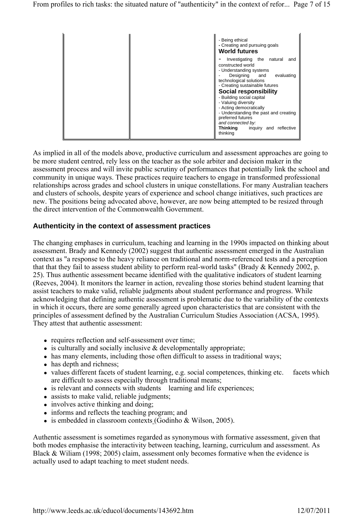

As implied in all of the models above, productive curriculum and assessment approaches are going to be more student centred, rely less on the teacher as the sole arbiter and decision maker in the assessment process and will invite public scrutiny of performances that potentially link the school and community in unique ways. These practices require teachers to engage in transformed professional relationships across grades and school clusters in unique constellations. For many Australian teachers and clusters of schools, despite years of experience and school change initiatives, such practices are new. The positions being advocated above, however, are now being attempted to be resized through the direct intervention of the Commonwealth Government.

#### **Authenticity in the context of assessment practices**

The changing emphases in curriculum, teaching and learning in the 1990s impacted on thinking about assessment. Brady and Kennedy (2002) suggest that authentic assessment emerged in the Australian context as "a response to the heavy reliance on traditional and norm-referenced tests and a perception that that they fail to assess student ability to perform real-world tasks" (Brady & Kennedy 2002, p. 25). Thus authentic assessment became identified with the qualitative indicators of student learning (Reeves, 2004). It monitors the learner in action, revealing those stories behind student learning that assist teachers to make valid, reliable judgments about student performance and progress. While acknowledging that defining authentic assessment is problematic due to the variability of the contexts in which it occurs, there are some generally agreed upon characteristics that are consistent with the principles of assessment defined by the Australian Curriculum Studies Association (ACSA, 1995). They attest that authentic assessment:

- requires reflection and self-assessment over time;
- $\bullet$  is culturally and socially inclusive  $\&$  developmentally appropriate;
- has many elements, including those often difficult to assess in traditional ways;
- has depth and richness;
- values different facets of student learning, e.g. social competences, thinking etc. facets which are difficult to assess especially through traditional means;
- is relevant and connects with students learning and life experiences;
- assists to make valid, reliable judgments;
- involves active thinking and doing;
- informs and reflects the teaching program; and
- is embedded in classroom contexts (Godinho & Wilson, 2005).

Authentic assessment is sometimes regarded as synonymous with formative assessment, given that both modes emphasise the interactivity between teaching, learning, curriculum and assessment. As Black & Wiliam (1998; 2005) claim, assessment only becomes formative when the evidence is actually used to adapt teaching to meet student needs.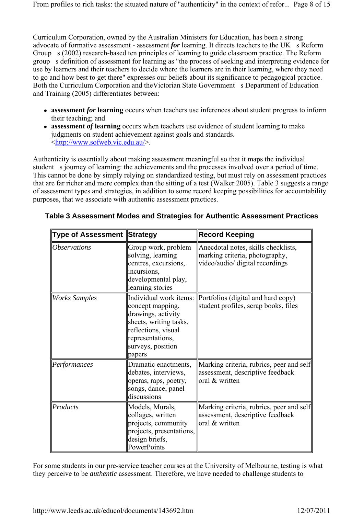Curriculum Corporation, owned by the Australian Ministers for Education, has been a strong advocate of formative assessment - assessment *for* learning. It directs teachers to the UK s Reform Group s (2002) research-based ten principles of learning to guide classroom practice. The Reform groups definition of assessment for learning as "the process of seeking and interpreting evidence for use by learners and their teachers to decide where the learners are in their learning, where they need to go and how best to get there" expresses our beliefs about its significance to pedagogical practice. Both the Curriculum Corporation and the Victorian State Government s Department of Education and Training (2005) differentiates between:

- **assessment** *for* **learning** occurs when teachers use inferences about student progress to inform their teaching; and
- **assessment** *of* **learning** occurs when teachers use evidence of student learning to make judgments on student achievement against goals and standards. <http://www.sofweb.vic.edu.au/>.

Authenticity is essentially about making assessment meaningful so that it maps the individual student s journey of learning: the achievements and the processes involved over a period of time. This cannot be done by simply relying on standardized testing, but must rely on assessment practices that are far richer and more complex than the sitting of a test (Walker 2005). Table 3 suggests a range of assessment types and strategies, in addition to some record keeping possibilities for accountability purposes, that we associate with authentic assessment practices.

| <b>Type of Assessment </b> Strategy |                                                                                                                                                                      | ∥Record Keeping                                                                                          |
|-------------------------------------|----------------------------------------------------------------------------------------------------------------------------------------------------------------------|----------------------------------------------------------------------------------------------------------|
| <i><b>Observations</b></i>          | Group work, problem<br>solving, learning<br>centres, excursions,<br>incursions,<br>developmental play,<br>learning stories                                           | Anecdotal notes, skills checklists,<br>marking criteria, photography,<br>video/audio/ digital recordings |
| <b>Works Samples</b>                | Individual work items:<br>concept mapping,<br>drawings, activity<br>sheets, writing tasks,<br>reflections, visual<br>representations,<br>surveys, position<br>papers | Portfolios (digital and hard copy)<br>student profiles, scrap books, files                               |
| Performances                        | Dramatic enactments,<br>debates, interviews,<br>operas, raps, poetry,<br>songs, dance, panel<br>discussions                                                          | Marking criteria, rubrics, peer and self<br>assessment, descriptive feedback<br>oral & written           |
| Products                            | Models, Murals,<br>collages, written<br>projects, community<br>projects, presentations,<br>design briefs,<br>PowerPoints                                             | Marking criteria, rubrics, peer and self<br>assessment, descriptive feedback<br>oral & written           |

### **Table 3 Assessment Modes and Strategies for Authentic Assessment Practices**

For some students in our pre-service teacher courses at the University of Melbourne, testing is what they perceive to be *authentic* assessment. Therefore, we have needed to challenge students to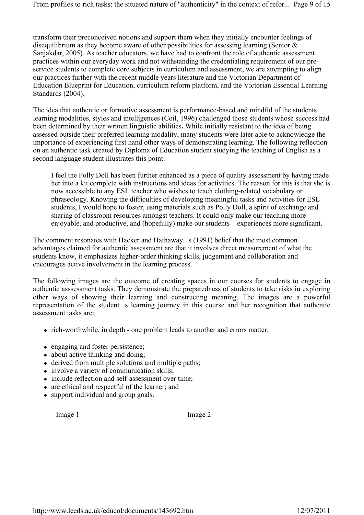transform their preconceived notions and support them when they initially encounter feelings of disequilibrium as they become aware of other possibilities for assessing learning (Senior & Sanjakdar, 2005). As teacher educators, we have had to confront the role of authentic assessment practices within our everyday work and not withstanding the credentialing requirement of our preservice students to complete core subjects in curriculum and assessment, we are attempting to align our practices further with the recent middle years literature and the Victorian Department of Education Blueprint for Education, curriculum reform platform, and the Victorian Essential Learning Standards (2004).

The idea that authentic or formative assessment is performance-based and mindful of the students learning modalities, styles and intelligences (Coil, 1996) challenged those students whose success had been determined by their written linguistic abilities**.** While initially resistant to the idea of being assessed outside their preferred learning modality, many students were later able to acknowledge the importance of experiencing first hand other ways of demonstrating learning. The following reflection on an authentic task created by Diploma of Education student studying the teaching of English as a second language student illustrates this point:

I feel the Polly Doll has been further enhanced as a piece of quality assessment by having made her into a kit complete with instructions and ideas for activities. The reason for this is that she is now accessible to any ESL teacher who wishes to teach clothing-related vocabulary or phraseology. Knowing the difficulties of developing meaningful tasks and activities for ESL students, I would hope to foster, using materials such as Polly Doll, a spirit of exchange and sharing of classroom resources amongst teachers. It could only make our teaching more enjoyable, and productive, and (hopefully) make our students experiences more significant.

The comment resonates with Hacker and Hathaway  $s(1991)$  belief that the most common advantages claimed for authentic assessment are that it involves direct measurement of what the students know, it emphasizes higher-order thinking skills, judgement and collaboration and encourages active involvement in the learning process.

The following images are the outcome of creating spaces in our courses for students to engage in authentic asssessment tasks. They demonstrate the preparedness of students to take risks in exploring other ways of showing their learning and constructing meaning. The images are a powerful representation of the student s learning journey in this course and her recognition that authentic assessment tasks are:

- rich-worthwhile, in depth one problem leads to another and errors matter;
- engaging and foster persistence;
- about active thinking and doing;
- derived from multiple solutions and multiple paths;
- involve a variety of communication skills;
- include reflection and self-assessment over time;
- are ethical and respectful of the learner; and
- support individual and group goals.

Image 1 Image 2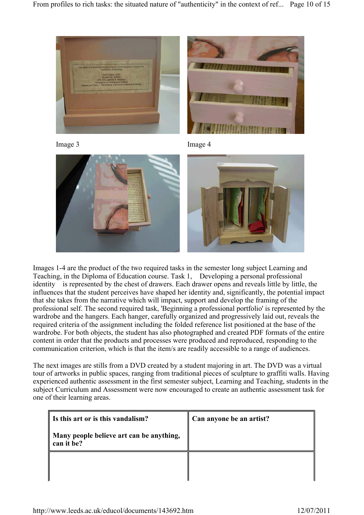









Images 1-4 are the product of the two required tasks in the semester long subject Learning and Teaching, in the Diploma of Education course. Task 1, Developing a personal professional identity is represented by the chest of drawers. Each drawer opens and reveals little by little, the influences that the student perceives have shaped her identity and, significantly, the potential impact that she takes from the narrative which will impact, support and develop the framing of the professional self. The second required task, 'Beginning a professional portfolio' is represented by the wardrobe and the hangers. Each hanger, carefully organized and progressively laid out, reveals the required criteria of the assignment including the folded reference list positioned at the base of the wardrobe. For both objects, the student has also photographed and created PDF formats of the entire content in order that the products and processes were produced and reproduced, responding to the communication criterion, which is that the item/s are readily accessible to a range of audiences.

The next images are stills from a DVD created by a student majoring in art. The DVD was a virtual tour of artworks in public spaces, ranging from traditional pieces of sculpture to graffiti walls. Having experienced authentic assessment in the first semester subject, Learning and Teaching, students in the subject Curriculum and Assessment were now encouraged to create an authentic assessment task for one of their learning areas.

| If Is this art or is this vandalism?                   | Can anyone be an artist? |
|--------------------------------------------------------|--------------------------|
| Many people believe art can be anything,<br>can it be? |                          |
|                                                        |                          |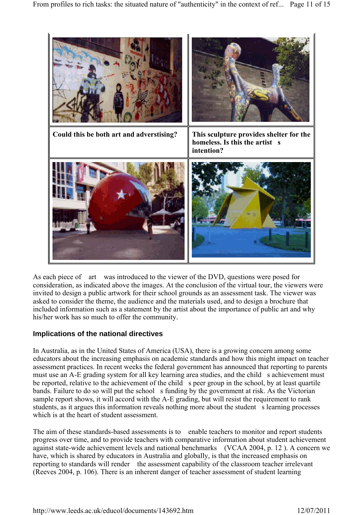

As each piece of art was introduced to the viewer of the DVD, questions were posed for consideration, as indicated above the images. At the conclusion of the virtual tour, the viewers were invited to design a public artwork for their school grounds as an assessment task. The viewer was asked to consider the theme, the audience and the materials used, and to design a brochure that included information such as a statement by the artist about the importance of public art and why his/her work has so much to offer the community.

### **Implications of the national directives**

In Australia, as in the United States of America (USA), there is a growing concern among some educators about the increasing emphasis on academic standards and how this might impact on teacher assessment practices. In recent weeks the federal government has announced that reporting to parents must use an A-E grading system for all key learning area studies, and the child s achievement must be reported, relative to the achievement of the child speer group in the school, by at least quartile bands. Failure to do so will put the school s funding by the government at risk. As the Victorian sample report shows, it will accord with the A-E grading, but will resist the requirement to rank students, as it argues this information reveals nothing more about the student s learning processes which is at the heart of student assessment.

The aim of these standards-based assessments is to enable teachers to monitor and report students progress over time, and to provide teachers with comparative information about student achievement against state-wide achievement levels and national benchmarks (VCAA 2004, p. 12 ). A concern we have, which is shared by educators in Australia and globally, is that the increased emphasis on reporting to standards will render the assessment capability of the classroom teacher irrelevant (Reeves 2004, p. 106). There is an inherent danger of teacher assessment of student learning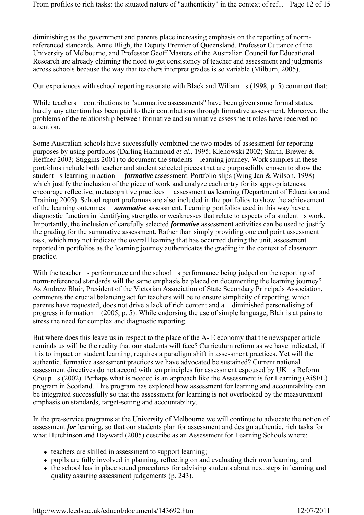diminishing as the government and parents place increasing emphasis on the reporting of normreferenced standards. Anne Bligh, the Deputy Premier of Queensland, Professor Cuttance of the University of Melbourne, and Professor Geoff Masters of the Australian Council for Educational Research are already claiming the need to get consistency of teacher and assessment and judgments across schools because the way that teachers interpret grades is so variable (Milburn, 2005).

Our experiences with school reporting resonate with Black and Wiliam s (1998, p. 5) comment that:

While teachers contributions to "summative assessments" have been given some formal status, hardly any attention has been paid to their contributions through formative assessment. Moreover, the problems of the relationship between formative and summative assessment roles have received no attention.

Some Australian schools have successfully combined the two modes of assessment for reporting purposes by using portfolios (Darling Hammond *et al.*, 1995; Klenowski 2002; Smith, Brewer & Heffner 2003; Stiggins 2001) to document the students learning journey. Work samples in these portfolios include both teacher and student selected pieces that are purposefully chosen to show the student s learning in action *formative* assessment. Portfolio slips (Wing Jan & Wilson, 1998) which justify the inclusion of the piece of work and analyze each entry for its appropriateness, encourage reflective, metacognitive practices assessment *as* learning (Department of Education and Training 2005). School report proformas are also included in the portfolios to show the achievement of the learning outcomes  *summative* assessment. Learning portfolios used in this way have a diagnostic function in identifying strengths or weaknesses that relate to aspects of a student s work. Importantly, the inclusion of carefully selected *formative* assessment activities can be used to justify the grading for the summative assessment. Rather than simply providing one end point assessment task, which may not indicate the overall learning that has occurred during the unit, assessment reported in portfolios as the learning journey authenticates the grading in the context of classroom practice.

With the teacher s performance and the school s performance being judged on the reporting of norm-referenced standards will the same emphasis be placed on documenting the learning journey? As Andrew Blair, President of the Victorian Association of State Secondary Principals Association, comments the crucial balancing act for teachers will be to ensure simplicity of reporting, which parents have requested, does not drive a lack of rich content and a diminished personalising of progress information (2005, p. 5). While endorsing the use of simple language, Blair is at pains to stress the need for complex and diagnostic reporting.

But where does this leave us in respect to the place of the A- E economy that the newspaper article reminds us will be the reality that our students will face? Curriculum reform as we have indicated, if it is to impact on student learning, requires a paradigm shift in assessment practices. Yet will the authentic, formative assessment practices we have advocated be sustained? Current national assessment directives do not accord with ten principles for assessment espoused by  $UK \s$  Reform Group s (2002). Perhaps what is needed is an approach like the Assessment is for Learning (AiSFL) program in Scotland. This program has explored how assessment for learning and accountability can be integrated successfully so that the assessment *for* learning is not overlooked by the measurement emphasis on standards, target-setting and accountability.

In the pre-service programs at the University of Melbourne we will continue to advocate the notion of assessment *for* learning, so that our students plan for assessment and design authentic, rich tasks for what Hutchinson and Hayward (2005) describe as an Assessment for Learning Schools where:

- teachers are skilled in assessment to support learning;
- pupils are fully involved in planning, reflecting on and evaluating their own learning; and
- the school has in place sound procedures for advising students about next steps in learning and quality assuring assessment judgements (p. 243).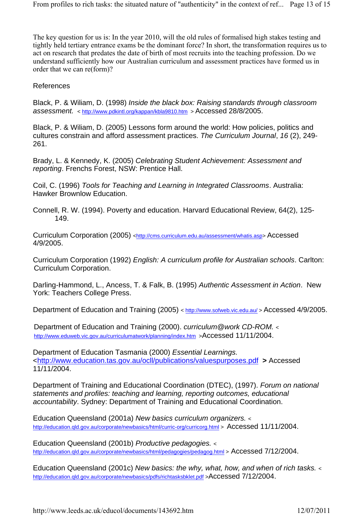The key question for us is: In the year 2010, will the old rules of formalised high stakes testing and tightly held tertiary entrance exams be the dominant force? In short, the transformation requires us to act on research that predates the date of birth of most recruits into the teaching profession. Do we understand sufficiently how our Australian curriculum and assessment practices have formed us in order that we can re(form)?

References

Black, P. & Wiliam, D. (1998) *Inside the black box: Raising standards through classroom assessment.* < http://www.pdkintl.org/kappan/kbla9810.htm > Accessed 28/8/2005.

Black, P. & Wiliam, D. (2005) Lessons form around the world: How policies, politics and cultures constrain and afford assessment practices. *The Curriculum Journal*, *16* (2), 249- 261.

Brady, L. & Kennedy, K. (2005) *Celebrating Student Achievement: Assessment and reporting*. Frenchs Forest, NSW: Prentice Hall.

Coil, C. (1996) *Tools for Teaching and Learning in Integrated Classrooms*. Australia: Hawker Brownlow Education.

Connell, R. W. (1994). Poverty and education. Harvard Educational Review, 64(2), 125- 149.

Curriculum Corporation (2005) <http://cms.curriculum.edu.au/assessment/whatis.asp> Accessed 4/9/2005.

Curriculum Corporation (1992) *English: A curriculum profile for Australian schools*. Carlton: Curriculum Corporation.

Darling-Hammond, L., Ancess, T. & Falk, B. (1995) *Authentic Assessment in Action*. New York: Teachers College Press.

Department of Education and Training (2005) < http://www.sofweb.vic.edu.au/ > Accessed 4/9/2005.

Department of Education and Training (2000). *curriculum@work CD-ROM.* < http://www.eduweb.vic.gov.au/curriculumatwork/planning/index.htm >Accessed 11/11/2004.

Department of Education Tasmania (2000) *Essential Learnings.* <http://www.education.tas.gov.au/ocll/publications/valuespurposes.pdf **>** Accessed 11/11/2004.

Department of Training and Educational Coordination (DTEC), (1997). *Forum on national statements and profiles: teaching and learning, reporting outcomes, educational accountability*. Sydney: Department of Training and Educational Coordination.

Education Queensland (2001a) *New basics curriculum organizers.* < http://education.qld.gov.au/corporate/newbasics/html/curric-org/curricorg.html > Accessed 11/11/2004.

Education Queensland (2001b) *Productive pedagogies.* < http://education.qld.gov.au/corporate/newbasics/html/pedagogies/pedagog.html > Accessed 7/12/2004.

Education Queensland (2001c) *New basics: the why, what, how, and when of rich tasks. <*  http://education.qld.gov.au/corporate/newbasics/pdfs/richtasksbklet.pdf >Accessed 7/12/2004.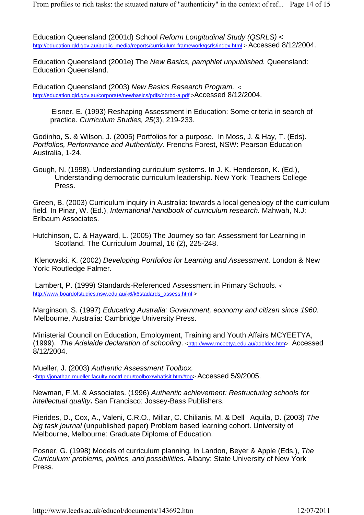Education Queensland (2001d) School *Reform Longitudinal Study (QSRLS)* < http://education.qld.gov.au/public\_media/reports/curriculum-framework/qsrls/index.html > Accessed 8/12/2004.

Education Queensland (2001e) The *New Basics, pamphlet unpublished.* Queensland: Education Queensland.

Education Queensland (2003) *New Basics Research Program.* < http://education.qld.gov.au/corporate/newbasics/pdfs/nbrbd-a.pdf >Accessed 8/12/2004.

 Eisner, E. (1993) Reshaping Assessment in Education: Some criteria in search of practice. *Curriculum Studies, 25*(3), 219-233.

Godinho, S. & Wilson, J. (2005) Portfolios for a purpose. In Moss, J. & Hay, T. (Eds). *Portfolios, Performance and Authenticity.* Frenchs Forest, NSW: Pearson Education Australia, 1-24.

Gough, N. (1998). Understanding curriculum systems. In J. K. Henderson, K. (Ed.), Understanding democratic curriculum leadership. New York: Teachers College Press.

Green, B. (2003) Curriculum inquiry in Australia: towards a local genealogy of the curriculum field*.* In Pinar, W. (Ed.), *International handbook of curriculum research.* Mahwah, N.J: Erlbaum Associates.

Hutchinson, C. & Hayward, L. (2005) The Journey so far: Assessment for Learning in Scotland. The Curriculum Journal, 16 (2), 225-248.

Klenowski, K. (2002) *Developing Portfolios for Learning and Assessment*. London & New York: Routledge Falmer.

 Lambert, P. (1999) Standards-Referenced Assessment in Primary Schools. < http://www.boardofstudies.nsw.edu.au/k6/k6stadards\_assess.html >

Marginson, S. (1997) *Educating Australia: Government, economy and citizen since 1960*. Melbourne, Australia: Cambridge University Press.

Ministerial Council on Education, Employment, Training and Youth Affairs MCYEETYA, (1999). *The Adelaide declaration of schooling*. <http://www.mceetya.edu.au/adeldec.htm> Accessed 8/12/2004.

Mueller, J. (2003) *Authentic Assessment Toolbox.* <http://jonathan.mueller.faculty.noctrl.edu/toolbox/whatisit.htm#top> Accessed 5/9/2005.

Newman, F.M. & Associates. (1996) *Authentic achievement: Restructuring schools for intellectual quality***.** San Francisco: Jossey-Bass Publishers.

Pierides, D., Cox, A., Valeni, C.R.O., Millar, C. Chilianis, M. & Dell Aquila, D. (2003) The *big task journal* (unpublished paper) Problem based learning cohort. University of Melbourne, Melbourne: Graduate Diploma of Education.

Posner, G. (1998) Models of curriculum planning*.* In Landon, Beyer & Apple (Eds.), *The Curriculum: problems, politics, and possibilities*. Albany: State University of New York Press.